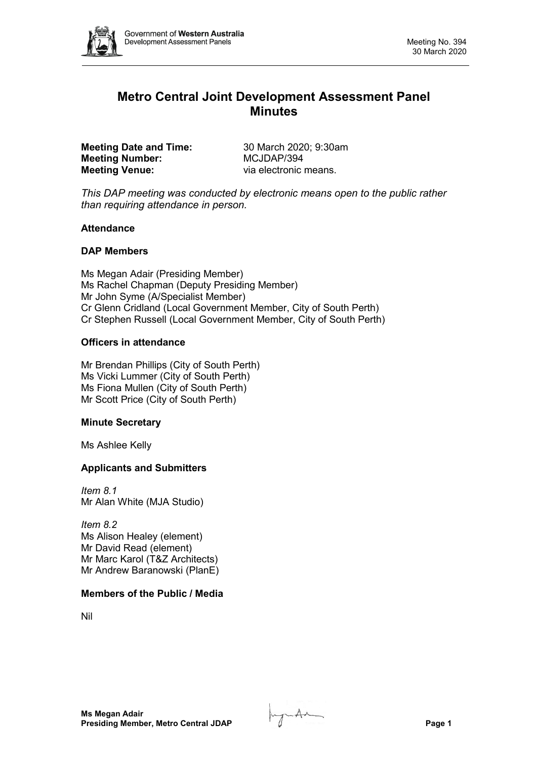

# **Metro Central Joint Development Assessment Panel Minutes**

**Meeting Date and Time:** 30 March 2020; 9:30am<br> **Meeting Number:** MCJDAP/394 **Meeting Number: Meeting Venue:** via electronic means.

*This DAP meeting was conducted by electronic means open to the public rather than requiring attendance in person.*

## **Attendance**

## **DAP Members**

Ms Megan Adair (Presiding Member) Ms Rachel Chapman (Deputy Presiding Member) Mr John Syme (A/Specialist Member) Cr Glenn Cridland (Local Government Member, City of South Perth) Cr Stephen Russell (Local Government Member, City of South Perth)

## **Officers in attendance**

Mr Brendan Phillips (City of South Perth) Ms Vicki Lummer (City of South Perth) Ms Fiona Mullen (City of South Perth) Mr Scott Price (City of South Perth)

#### **Minute Secretary**

Ms Ashlee Kelly

## **Applicants and Submitters**

*Item 8.1* Mr Alan White (MJA Studio)

*Item 8.2* Ms Alison Healey (element) Mr David Read (element) Mr Marc Karol (T&Z Architects) Mr Andrew Baranowski (PlanE)

#### **Members of the Public / Media**

Nil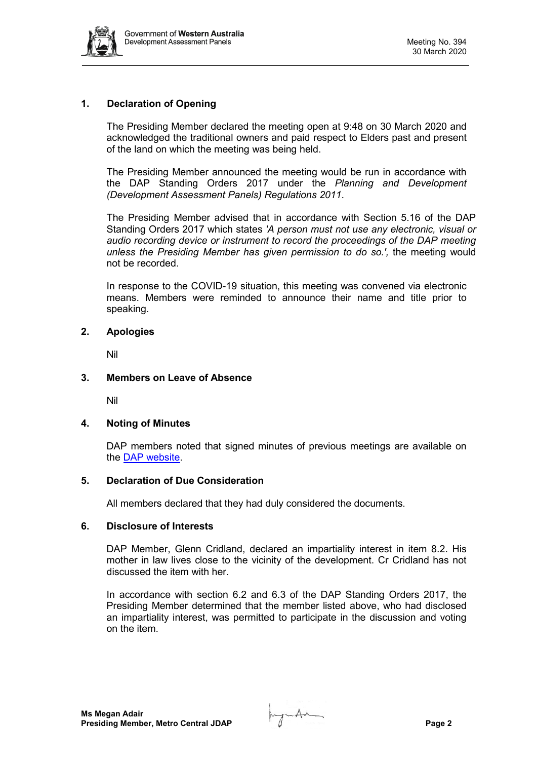

## **1. Declaration of Opening**

The Presiding Member declared the meeting open at 9:48 on 30 March 2020 and acknowledged the traditional owners and paid respect to Elders past and present of the land on which the meeting was being held.

The Presiding Member announced the meeting would be run in accordance with the DAP Standing Orders 2017 under the *Planning and Development (Development Assessment Panels) Regulations 2011*.

The Presiding Member advised that in accordance with Section 5.16 of the DAP Standing Orders 2017 which states *'A person must not use any electronic, visual or audio recording device or instrument to record the proceedings of the DAP meeting unless the Presiding Member has given permission to do so.',* the meeting would not be recorded.

In response to the COVID-19 situation, this meeting was convened via electronic means. Members were reminded to announce their name and title prior to speaking.

## **2. Apologies**

Nil

## **3. Members on Leave of Absence**

Nil

#### **4. Noting of Minutes**

DAP members noted that signed minutes of previous meetings are available on the [DAP website.](https://www.dplh.wa.gov.au/about/development-assessment-panels/daps-agendas-and-minutes)

### **5. Declaration of Due Consideration**

All members declared that they had duly considered the documents.

#### **6. Disclosure of Interests**

DAP Member, Glenn Cridland, declared an impartiality interest in item 8.2. His mother in law lives close to the vicinity of the development. Cr Cridland has not discussed the item with her.

In accordance with section 6.2 and 6.3 of the DAP Standing Orders 2017, the Presiding Member determined that the member listed above, who had disclosed an impartiality interest, was permitted to participate in the discussion and voting on the item.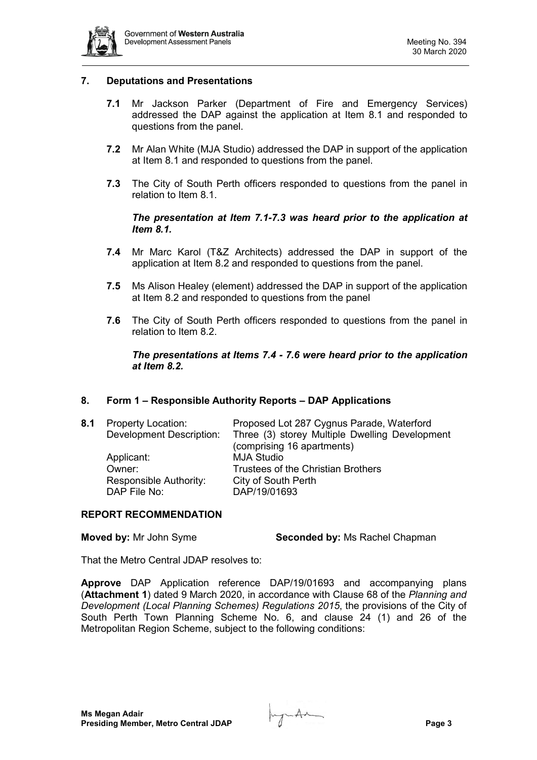

## **7. Deputations and Presentations**

- **7.1** Mr Jackson Parker (Department of Fire and Emergency Services) addressed the DAP against the application at Item 8.1 and responded to questions from the panel.
- **7.2** Mr Alan White (MJA Studio) addressed the DAP in support of the application at Item 8.1 and responded to questions from the panel.
- **7.3** The City of South Perth officers responded to questions from the panel in relation to Item 8.1.

## *The presentation at Item 7.1-7.3 was heard prior to the application at Item 8.1.*

- **7.4** Mr Marc Karol (T&Z Architects) addressed the DAP in support of the application at Item 8.2 and responded to questions from the panel.
- **7.5** Ms Alison Healey (element) addressed the DAP in support of the application at Item 8.2 and responded to questions from the panel
- **7.6** The City of South Perth officers responded to questions from the panel in relation to Item 8.2.

## *The presentations at Items 7.4 - 7.6 were heard prior to the application at Item 8.2.*

#### **8. Form 1 – Responsible Authority Reports – DAP Applications**

| 8.1 | <b>Property Location:</b> | Proposed Lot 287 Cygnus Parade, Waterford                               |
|-----|---------------------------|-------------------------------------------------------------------------|
|     |                           | Development Description: Three (3) storey Multiple Dwelling Development |
|     |                           | (comprising 16 apartments)                                              |
|     | Applicant:                | <b>MJA Studio</b>                                                       |
|     | Owner:                    | <b>Trustees of the Christian Brothers</b>                               |
|     | Responsible Authority:    | City of South Perth                                                     |
|     | DAP File No:              | DAP/19/01693                                                            |
|     |                           |                                                                         |

#### **REPORT RECOMMENDATION**

**Moved by:** Mr John Syme **Seconded by:** Ms Rachel Chapman

That the Metro Central JDAP resolves to:

**Approve** DAP Application reference DAP/19/01693 and accompanying plans (**Attachment 1**) dated 9 March 2020, in accordance with Clause 68 of the *Planning and Development (Local Planning Schemes) Regulations 2015*, the provisions of the City of South Perth Town Planning Scheme No. 6, and clause 24 (1) and 26 of the Metropolitan Region Scheme, subject to the following conditions: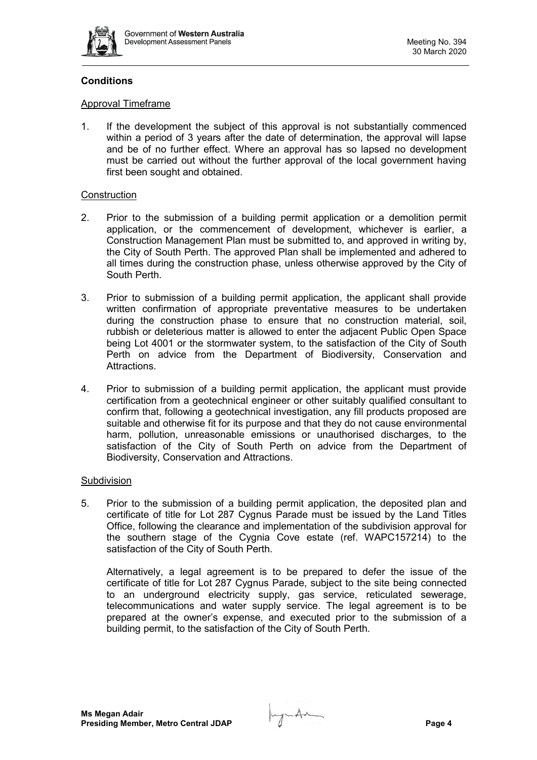

## **Conditions**

## Approval Timeframe

1. If the development the subject of this approval is not substantially commenced within a period of 3 years after the date of determination, the approval will lapse and be of no further effect. Where an approval has so lapsed no development must be carried out without the further approval of the local government having first been sought and obtained.

## **Construction**

- 2. Prior to the submission of a building permit application or a demolition permit application, or the commencement of development, whichever is earlier, a Construction Management Plan must be submitted to, and approved in writing by, the City of South Perth. The approved Plan shall be implemented and adhered to all times during the construction phase, unless otherwise approved by the City of South Perth.
- 3. Prior to submission of a building permit application, the applicant shall provide written confirmation of appropriate preventative measures to be undertaken during the construction phase to ensure that no construction material, soil, rubbish or deleterious matter is allowed to enter the adjacent Public Open Space being Lot 4001 or the stormwater system, to the satisfaction of the City of South Perth on advice from the Department of Biodiversity, Conservation and Attractions.
- 4. Prior to submission of a building permit application, the applicant must provide certification from a geotechnical engineer or other suitably qualified consultant to confirm that, following a geotechnical investigation, any fill products proposed are suitable and otherwise fit for its purpose and that they do not cause environmental harm, pollution, unreasonable emissions or unauthorised discharges, to the satisfaction of the City of South Perth on advice from the Department of Biodiversity, Conservation and Attractions.

## **Subdivision**

5. Prior to the submission of a building permit application, the deposited plan and certificate of title for Lot 287 Cygnus Parade must be issued by the Land Titles Office, following the clearance and implementation of the subdivision approval for the southern stage of the Cygnia Cove estate (ref. WAPC157214) to the satisfaction of the City of South Perth.

Alternatively, a legal agreement is to be prepared to defer the issue of the certificate of title for Lot 287 Cygnus Parade, subject to the site being connected to an underground electricity supply, gas service, reticulated sewerage, telecommunications and water supply service. The legal agreement is to be prepared at the owner's expense, and executed prior to the submission of a building permit, to the satisfaction of the City of South Perth.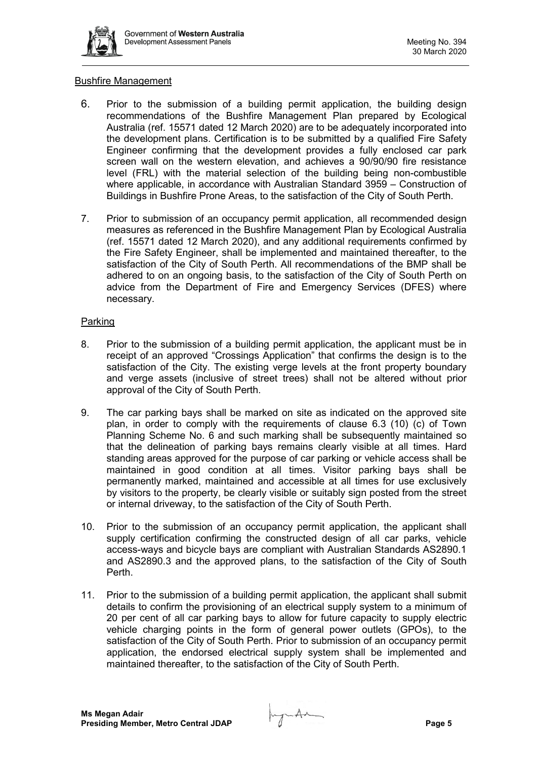

## Bushfire Management

- 6. Prior to the submission of a building permit application, the building design recommendations of the Bushfire Management Plan prepared by Ecological Australia (ref. 15571 dated 12 March 2020) are to be adequately incorporated into the development plans. Certification is to be submitted by a qualified Fire Safety Engineer confirming that the development provides a fully enclosed car park screen wall on the western elevation, and achieves a 90/90/90 fire resistance level (FRL) with the material selection of the building being non-combustible where applicable, in accordance with Australian Standard 3959 – Construction of Buildings in Bushfire Prone Areas, to the satisfaction of the City of South Perth.
- 7. Prior to submission of an occupancy permit application, all recommended design measures as referenced in the Bushfire Management Plan by Ecological Australia (ref. 15571 dated 12 March 2020), and any additional requirements confirmed by the Fire Safety Engineer, shall be implemented and maintained thereafter, to the satisfaction of the City of South Perth. All recommendations of the BMP shall be adhered to on an ongoing basis, to the satisfaction of the City of South Perth on advice from the Department of Fire and Emergency Services (DFES) where necessary.

## Parking

- 8. Prior to the submission of a building permit application, the applicant must be in receipt of an approved "Crossings Application" that confirms the design is to the satisfaction of the City. The existing verge levels at the front property boundary and verge assets (inclusive of street trees) shall not be altered without prior approval of the City of South Perth.
- 9. The car parking bays shall be marked on site as indicated on the approved site plan, in order to comply with the requirements of clause 6.3 (10) (c) of Town Planning Scheme No. 6 and such marking shall be subsequently maintained so that the delineation of parking bays remains clearly visible at all times. Hard standing areas approved for the purpose of car parking or vehicle access shall be maintained in good condition at all times. Visitor parking bays shall be permanently marked, maintained and accessible at all times for use exclusively by visitors to the property, be clearly visible or suitably sign posted from the street or internal driveway, to the satisfaction of the City of South Perth.
- 10. Prior to the submission of an occupancy permit application, the applicant shall supply certification confirming the constructed design of all car parks, vehicle access-ways and bicycle bays are compliant with Australian Standards AS2890.1 and AS2890.3 and the approved plans, to the satisfaction of the City of South Perth.
- 11. Prior to the submission of a building permit application, the applicant shall submit details to confirm the provisioning of an electrical supply system to a minimum of 20 per cent of all car parking bays to allow for future capacity to supply electric vehicle charging points in the form of general power outlets (GPOs), to the satisfaction of the City of South Perth. Prior to submission of an occupancy permit application, the endorsed electrical supply system shall be implemented and maintained thereafter, to the satisfaction of the City of South Perth.

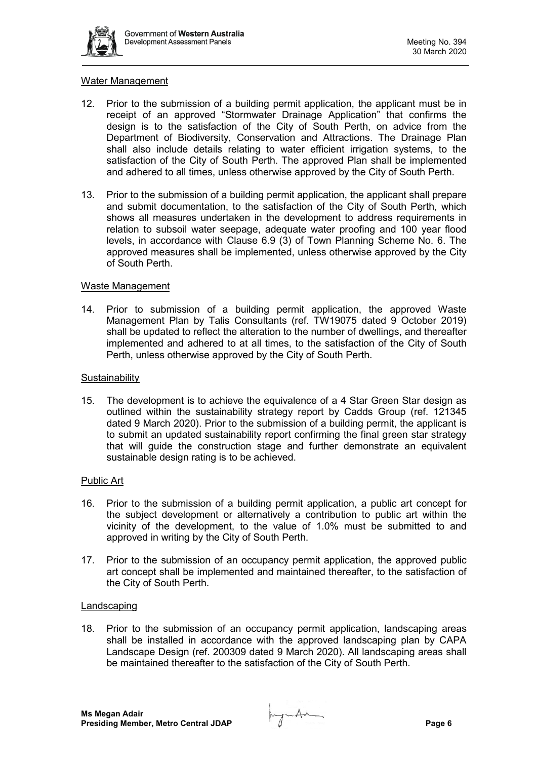

## Water Management

- 12. Prior to the submission of a building permit application, the applicant must be in receipt of an approved "Stormwater Drainage Application" that confirms the design is to the satisfaction of the City of South Perth, on advice from the Department of Biodiversity, Conservation and Attractions. The Drainage Plan shall also include details relating to water efficient irrigation systems, to the satisfaction of the City of South Perth. The approved Plan shall be implemented and adhered to all times, unless otherwise approved by the City of South Perth.
- 13. Prior to the submission of a building permit application, the applicant shall prepare and submit documentation, to the satisfaction of the City of South Perth, which shows all measures undertaken in the development to address requirements in relation to subsoil water seepage, adequate water proofing and 100 year flood levels, in accordance with Clause 6.9 (3) of Town Planning Scheme No. 6. The approved measures shall be implemented, unless otherwise approved by the City of South Perth.

#### Waste Management

14. Prior to submission of a building permit application, the approved Waste Management Plan by Talis Consultants (ref. TW19075 dated 9 October 2019) shall be updated to reflect the alteration to the number of dwellings, and thereafter implemented and adhered to at all times, to the satisfaction of the City of South Perth, unless otherwise approved by the City of South Perth.

## **Sustainability**

15. The development is to achieve the equivalence of a 4 Star Green Star design as outlined within the sustainability strategy report by Cadds Group (ref. 121345 dated 9 March 2020). Prior to the submission of a building permit, the applicant is to submit an updated sustainability report confirming the final green star strategy that will guide the construction stage and further demonstrate an equivalent sustainable design rating is to be achieved.

#### Public Art

- 16. Prior to the submission of a building permit application, a public art concept for the subject development or alternatively a contribution to public art within the vicinity of the development, to the value of 1.0% must be submitted to and approved in writing by the City of South Perth.
- 17. Prior to the submission of an occupancy permit application, the approved public art concept shall be implemented and maintained thereafter, to the satisfaction of the City of South Perth.

#### **Landscaping**

18. Prior to the submission of an occupancy permit application, landscaping areas shall be installed in accordance with the approved landscaping plan by CAPA Landscape Design (ref. 200309 dated 9 March 2020). All landscaping areas shall be maintained thereafter to the satisfaction of the City of South Perth.

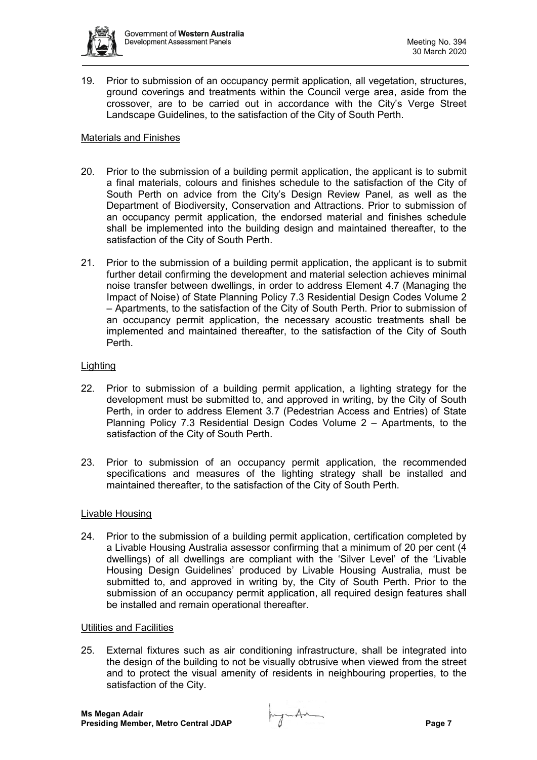

19. Prior to submission of an occupancy permit application, all vegetation, structures, ground coverings and treatments within the Council verge area, aside from the crossover, are to be carried out in accordance with the City's Verge Street Landscape Guidelines, to the satisfaction of the City of South Perth.

## Materials and Finishes

- 20. Prior to the submission of a building permit application, the applicant is to submit a final materials, colours and finishes schedule to the satisfaction of the City of South Perth on advice from the City's Design Review Panel, as well as the Department of Biodiversity, Conservation and Attractions. Prior to submission of an occupancy permit application, the endorsed material and finishes schedule shall be implemented into the building design and maintained thereafter, to the satisfaction of the City of South Perth.
- 21. Prior to the submission of a building permit application, the applicant is to submit further detail confirming the development and material selection achieves minimal noise transfer between dwellings, in order to address Element 4.7 (Managing the Impact of Noise) of State Planning Policy 7.3 Residential Design Codes Volume 2 – Apartments, to the satisfaction of the City of South Perth. Prior to submission of an occupancy permit application, the necessary acoustic treatments shall be implemented and maintained thereafter, to the satisfaction of the City of South Perth.

#### **Lighting**

- 22. Prior to submission of a building permit application, a lighting strategy for the development must be submitted to, and approved in writing, by the City of South Perth, in order to address Element 3.7 (Pedestrian Access and Entries) of State Planning Policy 7.3 Residential Design Codes Volume 2 – Apartments, to the satisfaction of the City of South Perth.
- 23. Prior to submission of an occupancy permit application, the recommended specifications and measures of the lighting strategy shall be installed and maintained thereafter, to the satisfaction of the City of South Perth.

#### Livable Housing

24. Prior to the submission of a building permit application, certification completed by a Livable Housing Australia assessor confirming that a minimum of 20 per cent (4 dwellings) of all dwellings are compliant with the 'Silver Level' of the 'Livable Housing Design Guidelines' produced by Livable Housing Australia, must be submitted to, and approved in writing by, the City of South Perth. Prior to the submission of an occupancy permit application, all required design features shall be installed and remain operational thereafter.

#### Utilities and Facilities

25. External fixtures such as air conditioning infrastructure, shall be integrated into the design of the building to not be visually obtrusive when viewed from the street and to protect the visual amenity of residents in neighbouring properties, to the satisfaction of the City.

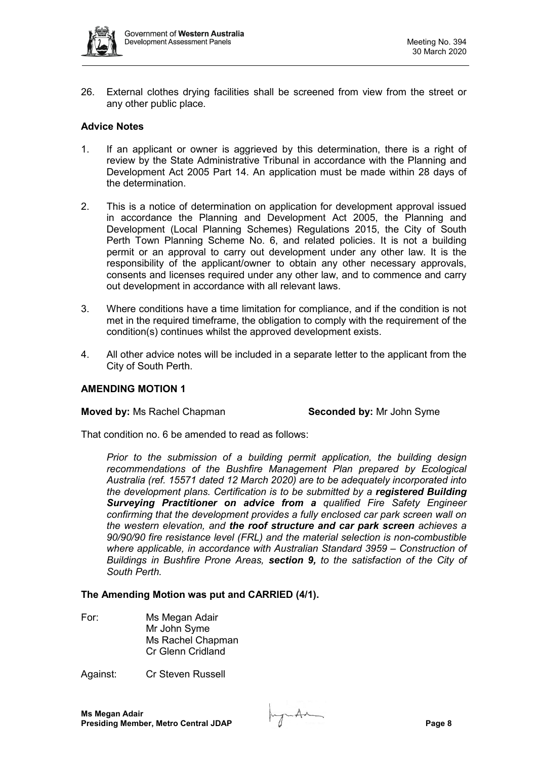

26. External clothes drying facilities shall be screened from view from the street or any other public place.

## **Advice Notes**

- 1. If an applicant or owner is aggrieved by this determination, there is a right of review by the State Administrative Tribunal in accordance with the Planning and Development Act 2005 Part 14. An application must be made within 28 days of the determination.
- 2. This is a notice of determination on application for development approval issued in accordance the Planning and Development Act 2005, the Planning and Development (Local Planning Schemes) Regulations 2015, the City of South Perth Town Planning Scheme No. 6, and related policies. It is not a building permit or an approval to carry out development under any other law. It is the responsibility of the applicant/owner to obtain any other necessary approvals, consents and licenses required under any other law, and to commence and carry out development in accordance with all relevant laws.
- 3. Where conditions have a time limitation for compliance, and if the condition is not met in the required timeframe, the obligation to comply with the requirement of the condition(s) continues whilst the approved development exists.
- 4. All other advice notes will be included in a separate letter to the applicant from the City of South Perth.

#### **AMENDING MOTION 1**

#### **Moved by:** Ms Rachel Chapman **Seconded by:** Mr John Syme

That condition no. 6 be amended to read as follows:

*Prior to the submission of a building permit application, the building design recommendations of the Bushfire Management Plan prepared by Ecological Australia (ref. 15571 dated 12 March 2020) are to be adequately incorporated into the development plans. Certification is to be submitted by a registered Building Surveying Practitioner on advice from a qualified Fire Safety Engineer confirming that the development provides a fully enclosed car park screen wall on the western elevation, and the roof structure and car park screen achieves a 90/90/90 fire resistance level (FRL) and the material selection is non-combustible where applicable, in accordance with Australian Standard 3959 – Construction of Buildings in Bushfire Prone Areas, section 9, to the satisfaction of the City of South Perth.*

#### **The Amending Motion was put and CARRIED (4/1).**

For: Ms Megan Adair Mr John Syme Ms Rachel Chapman Cr Glenn Cridland

Against: Cr Steven Russell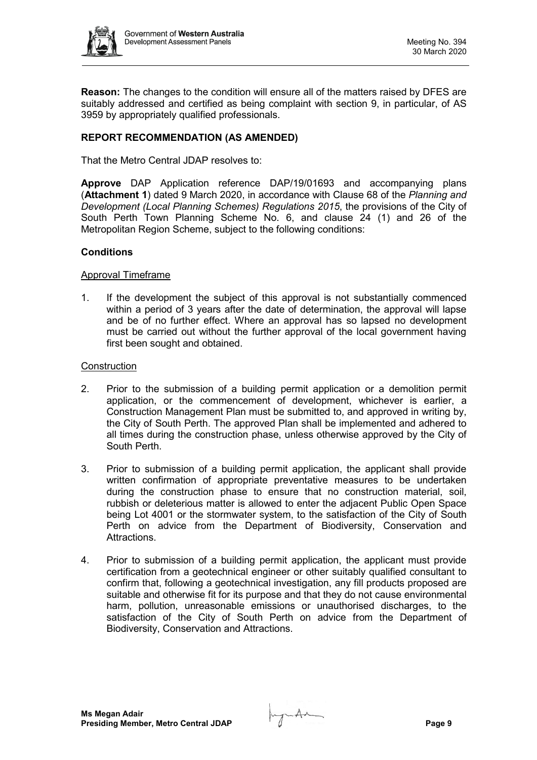

**Reason:** The changes to the condition will ensure all of the matters raised by DFES are suitably addressed and certified as being complaint with section 9, in particular, of AS 3959 by appropriately qualified professionals.

## **REPORT RECOMMENDATION (AS AMENDED)**

That the Metro Central JDAP resolves to:

**Approve** DAP Application reference DAP/19/01693 and accompanying plans (**Attachment 1**) dated 9 March 2020, in accordance with Clause 68 of the *Planning and Development (Local Planning Schemes) Regulations 2015*, the provisions of the City of South Perth Town Planning Scheme No. 6, and clause 24 (1) and 26 of the Metropolitan Region Scheme, subject to the following conditions:

## **Conditions**

## Approval Timeframe

1. If the development the subject of this approval is not substantially commenced within a period of 3 years after the date of determination, the approval will lapse and be of no further effect. Where an approval has so lapsed no development must be carried out without the further approval of the local government having first been sought and obtained.

## **Construction**

- 2. Prior to the submission of a building permit application or a demolition permit application, or the commencement of development, whichever is earlier, a Construction Management Plan must be submitted to, and approved in writing by, the City of South Perth. The approved Plan shall be implemented and adhered to all times during the construction phase, unless otherwise approved by the City of South Perth.
- 3. Prior to submission of a building permit application, the applicant shall provide written confirmation of appropriate preventative measures to be undertaken during the construction phase to ensure that no construction material, soil, rubbish or deleterious matter is allowed to enter the adjacent Public Open Space being Lot 4001 or the stormwater system, to the satisfaction of the City of South Perth on advice from the Department of Biodiversity, Conservation and Attractions.
- 4. Prior to submission of a building permit application, the applicant must provide certification from a geotechnical engineer or other suitably qualified consultant to confirm that, following a geotechnical investigation, any fill products proposed are suitable and otherwise fit for its purpose and that they do not cause environmental harm, pollution, unreasonable emissions or unauthorised discharges, to the satisfaction of the City of South Perth on advice from the Department of Biodiversity, Conservation and Attractions.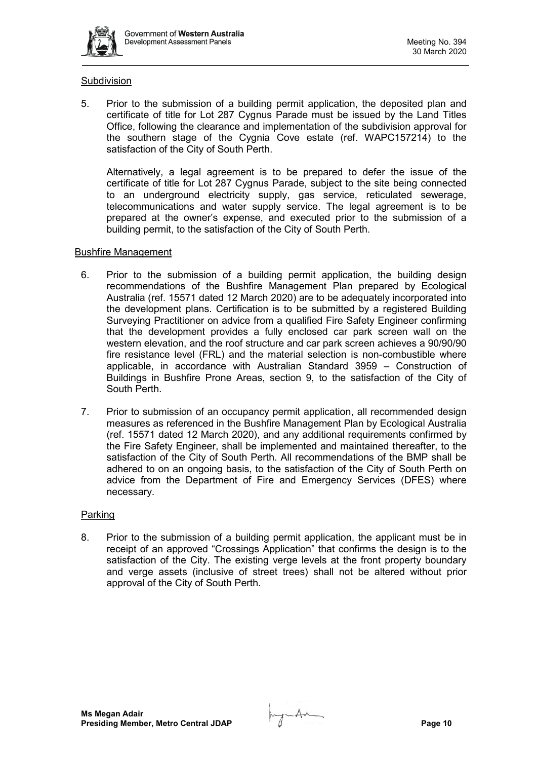

## **Subdivision**

5. Prior to the submission of a building permit application, the deposited plan and certificate of title for Lot 287 Cygnus Parade must be issued by the Land Titles Office, following the clearance and implementation of the subdivision approval for the southern stage of the Cygnia Cove estate (ref. WAPC157214) to the satisfaction of the City of South Perth.

Alternatively, a legal agreement is to be prepared to defer the issue of the certificate of title for Lot 287 Cygnus Parade, subject to the site being connected to an underground electricity supply, gas service, reticulated sewerage, telecommunications and water supply service. The legal agreement is to be prepared at the owner's expense, and executed prior to the submission of a building permit, to the satisfaction of the City of South Perth.

## Bushfire Management

- 6. Prior to the submission of a building permit application, the building design recommendations of the Bushfire Management Plan prepared by Ecological Australia (ref. 15571 dated 12 March 2020) are to be adequately incorporated into the development plans. Certification is to be submitted by a registered Building Surveying Practitioner on advice from a qualified Fire Safety Engineer confirming that the development provides a fully enclosed car park screen wall on the western elevation, and the roof structure and car park screen achieves a 90/90/90 fire resistance level (FRL) and the material selection is non-combustible where applicable, in accordance with Australian Standard 3959 – Construction of Buildings in Bushfire Prone Areas, section 9, to the satisfaction of the City of South Perth.
- 7. Prior to submission of an occupancy permit application, all recommended design measures as referenced in the Bushfire Management Plan by Ecological Australia (ref. 15571 dated 12 March 2020), and any additional requirements confirmed by the Fire Safety Engineer, shall be implemented and maintained thereafter, to the satisfaction of the City of South Perth. All recommendations of the BMP shall be adhered to on an ongoing basis, to the satisfaction of the City of South Perth on advice from the Department of Fire and Emergency Services (DFES) where necessary.

## **Parking**

8. Prior to the submission of a building permit application, the applicant must be in receipt of an approved "Crossings Application" that confirms the design is to the satisfaction of the City. The existing verge levels at the front property boundary and verge assets (inclusive of street trees) shall not be altered without prior approval of the City of South Perth.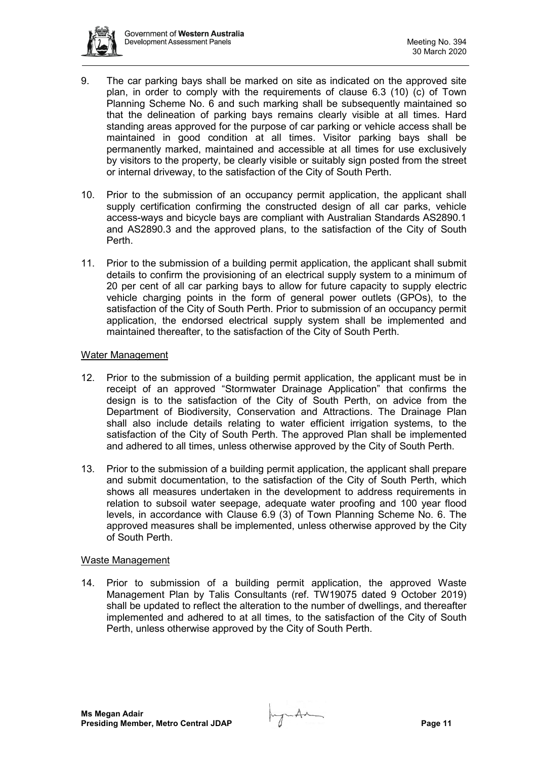

- 9. The car parking bays shall be marked on site as indicated on the approved site plan, in order to comply with the requirements of clause 6.3 (10) (c) of Town Planning Scheme No. 6 and such marking shall be subsequently maintained so that the delineation of parking bays remains clearly visible at all times. Hard standing areas approved for the purpose of car parking or vehicle access shall be maintained in good condition at all times. Visitor parking bays shall be permanently marked, maintained and accessible at all times for use exclusively by visitors to the property, be clearly visible or suitably sign posted from the street or internal driveway, to the satisfaction of the City of South Perth.
- 10. Prior to the submission of an occupancy permit application, the applicant shall supply certification confirming the constructed design of all car parks, vehicle access-ways and bicycle bays are compliant with Australian Standards AS2890.1 and AS2890.3 and the approved plans, to the satisfaction of the City of South Perth.
- 11. Prior to the submission of a building permit application, the applicant shall submit details to confirm the provisioning of an electrical supply system to a minimum of 20 per cent of all car parking bays to allow for future capacity to supply electric vehicle charging points in the form of general power outlets (GPOs), to the satisfaction of the City of South Perth. Prior to submission of an occupancy permit application, the endorsed electrical supply system shall be implemented and maintained thereafter, to the satisfaction of the City of South Perth.

## Water Management

- 12. Prior to the submission of a building permit application, the applicant must be in receipt of an approved "Stormwater Drainage Application" that confirms the design is to the satisfaction of the City of South Perth, on advice from the Department of Biodiversity, Conservation and Attractions. The Drainage Plan shall also include details relating to water efficient irrigation systems, to the satisfaction of the City of South Perth. The approved Plan shall be implemented and adhered to all times, unless otherwise approved by the City of South Perth.
- 13. Prior to the submission of a building permit application, the applicant shall prepare and submit documentation, to the satisfaction of the City of South Perth, which shows all measures undertaken in the development to address requirements in relation to subsoil water seepage, adequate water proofing and 100 year flood levels, in accordance with Clause 6.9 (3) of Town Planning Scheme No. 6. The approved measures shall be implemented, unless otherwise approved by the City of South Perth.

#### Waste Management

14. Prior to submission of a building permit application, the approved Waste Management Plan by Talis Consultants (ref. TW19075 dated 9 October 2019) shall be updated to reflect the alteration to the number of dwellings, and thereafter implemented and adhered to at all times, to the satisfaction of the City of South Perth, unless otherwise approved by the City of South Perth.

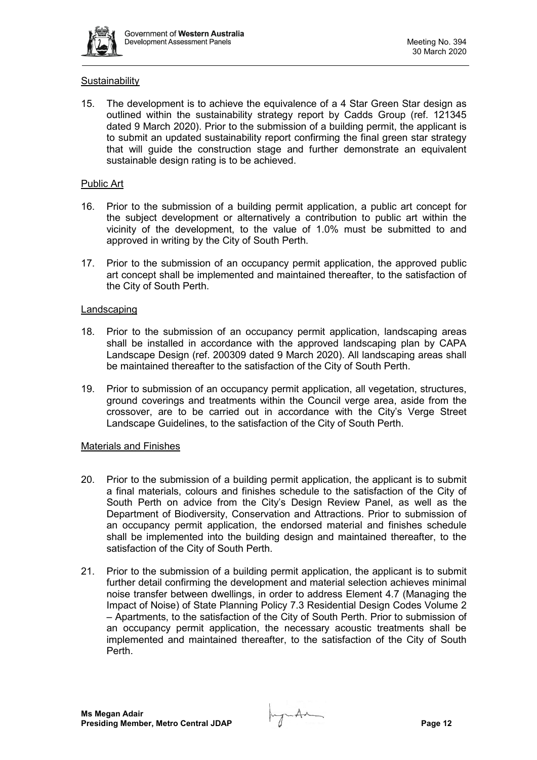

## **Sustainability**

15. The development is to achieve the equivalence of a 4 Star Green Star design as outlined within the sustainability strategy report by Cadds Group (ref. 121345 dated 9 March 2020). Prior to the submission of a building permit, the applicant is to submit an updated sustainability report confirming the final green star strategy that will guide the construction stage and further demonstrate an equivalent sustainable design rating is to be achieved.

## Public Art

- 16. Prior to the submission of a building permit application, a public art concept for the subject development or alternatively a contribution to public art within the vicinity of the development, to the value of 1.0% must be submitted to and approved in writing by the City of South Perth.
- 17. Prior to the submission of an occupancy permit application, the approved public art concept shall be implemented and maintained thereafter, to the satisfaction of the City of South Perth.

#### Landscaping

- 18. Prior to the submission of an occupancy permit application, landscaping areas shall be installed in accordance with the approved landscaping plan by CAPA Landscape Design (ref. 200309 dated 9 March 2020). All landscaping areas shall be maintained thereafter to the satisfaction of the City of South Perth.
- 19. Prior to submission of an occupancy permit application, all vegetation, structures, ground coverings and treatments within the Council verge area, aside from the crossover, are to be carried out in accordance with the City's Verge Street Landscape Guidelines, to the satisfaction of the City of South Perth.

#### Materials and Finishes

- 20. Prior to the submission of a building permit application, the applicant is to submit a final materials, colours and finishes schedule to the satisfaction of the City of South Perth on advice from the City's Design Review Panel, as well as the Department of Biodiversity, Conservation and Attractions. Prior to submission of an occupancy permit application, the endorsed material and finishes schedule shall be implemented into the building design and maintained thereafter, to the satisfaction of the City of South Perth.
- 21. Prior to the submission of a building permit application, the applicant is to submit further detail confirming the development and material selection achieves minimal noise transfer between dwellings, in order to address Element 4.7 (Managing the Impact of Noise) of State Planning Policy 7.3 Residential Design Codes Volume 2 – Apartments, to the satisfaction of the City of South Perth. Prior to submission of an occupancy permit application, the necessary acoustic treatments shall be implemented and maintained thereafter, to the satisfaction of the City of South Perth.

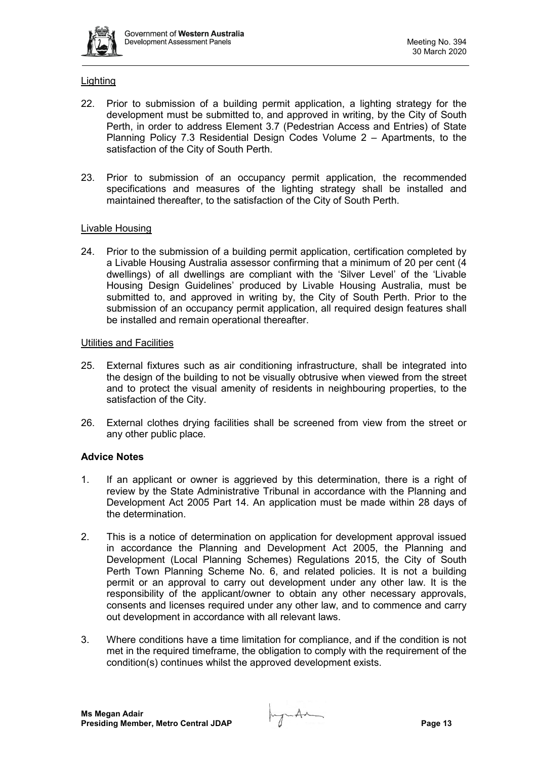

## **Lighting**

- 22. Prior to submission of a building permit application, a lighting strategy for the development must be submitted to, and approved in writing, by the City of South Perth, in order to address Element 3.7 (Pedestrian Access and Entries) of State Planning Policy 7.3 Residential Design Codes Volume 2 – Apartments, to the satisfaction of the City of South Perth.
- 23. Prior to submission of an occupancy permit application, the recommended specifications and measures of the lighting strategy shall be installed and maintained thereafter, to the satisfaction of the City of South Perth.

## Livable Housing

24. Prior to the submission of a building permit application, certification completed by a Livable Housing Australia assessor confirming that a minimum of 20 per cent (4 dwellings) of all dwellings are compliant with the 'Silver Level' of the 'Livable Housing Design Guidelines' produced by Livable Housing Australia, must be submitted to, and approved in writing by, the City of South Perth. Prior to the submission of an occupancy permit application, all required design features shall be installed and remain operational thereafter.

## Utilities and Facilities

- 25. External fixtures such as air conditioning infrastructure, shall be integrated into the design of the building to not be visually obtrusive when viewed from the street and to protect the visual amenity of residents in neighbouring properties, to the satisfaction of the City.
- 26. External clothes drying facilities shall be screened from view from the street or any other public place.

## **Advice Notes**

- 1. If an applicant or owner is aggrieved by this determination, there is a right of review by the State Administrative Tribunal in accordance with the Planning and Development Act 2005 Part 14. An application must be made within 28 days of the determination.
- 2. This is a notice of determination on application for development approval issued in accordance the Planning and Development Act 2005, the Planning and Development (Local Planning Schemes) Regulations 2015, the City of South Perth Town Planning Scheme No. 6, and related policies. It is not a building permit or an approval to carry out development under any other law. It is the responsibility of the applicant/owner to obtain any other necessary approvals, consents and licenses required under any other law, and to commence and carry out development in accordance with all relevant laws.
- 3. Where conditions have a time limitation for compliance, and if the condition is not met in the required timeframe, the obligation to comply with the requirement of the condition(s) continues whilst the approved development exists.

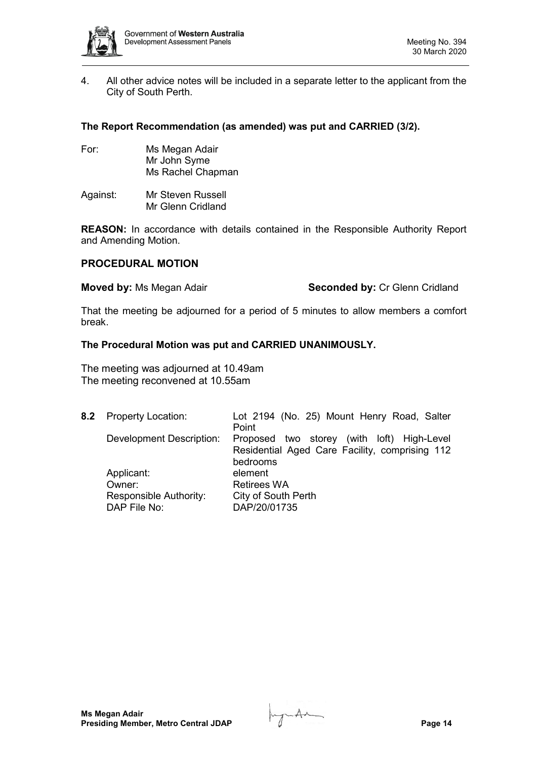

4. All other advice notes will be included in a separate letter to the applicant from the City of South Perth.

## **The Report Recommendation (as amended) was put and CARRIED (3/2).**

- For: Ms Megan Adair Mr John Syme Ms Rachel Chapman
- Against: Mr Steven Russell Mr Glenn Cridland

**REASON:** In accordance with details contained in the Responsible Authority Report and Amending Motion.

## **PROCEDURAL MOTION**

**Moved by:** Ms Megan Adair **Seconded by:** Cr Glenn Cridland

That the meeting be adjourned for a period of 5 minutes to allow members a comfort break.

## **The Procedural Motion was put and CARRIED UNANIMOUSLY.**

The meeting was adjourned at 10.49am The meeting reconvened at 10.55am

| 8.2 Property Location:                 | Lot 2194 (No. 25) Mount Henry Road, Salter<br>Point                                                      |
|----------------------------------------|----------------------------------------------------------------------------------------------------------|
| Development Description:               | Proposed two storey (with loft) High-Level<br>Residential Aged Care Facility, comprising 112<br>bedrooms |
| Applicant:                             | element                                                                                                  |
| Owner:                                 | <b>Retirees WA</b>                                                                                       |
| Responsible Authority:<br>DAP File No: | City of South Perth<br>DAP/20/01735                                                                      |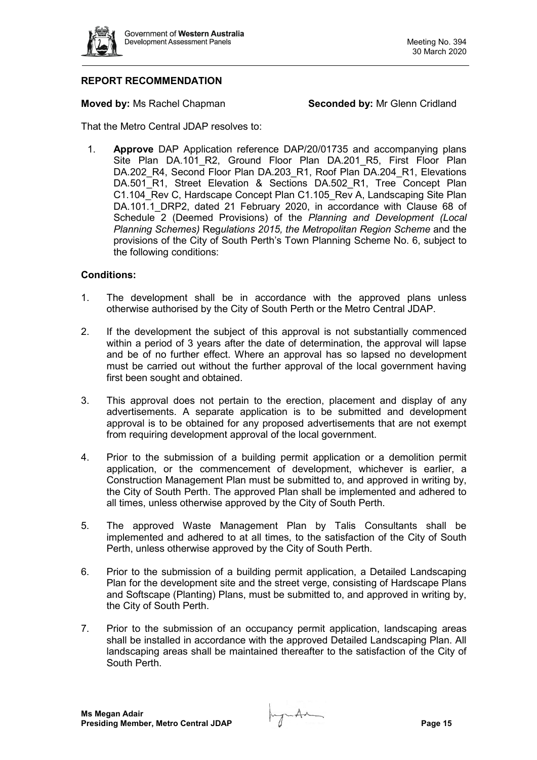

## **REPORT RECOMMENDATION**

**Moved by: Ms Rachel Chapman <b>Seconded by:** Mr Glenn Cridland

That the Metro Central JDAP resolves to:

1. **Approve** DAP Application reference DAP/20/01735 and accompanying plans Site Plan DA.101 R2, Ground Floor Plan DA.201 R5, First Floor Plan DA.202\_R4, Second Floor Plan DA.203\_R1, Roof Plan DA.204\_R1, Elevations DA.501\_R1, Street Elevation & Sections DA.502 R1, Tree Concept Plan C1.104 Rev C, Hardscape Concept Plan C1.105 Rev A, Landscaping Site Plan DA.101.1 DRP2, dated 21 February 2020, in accordance with Clause 68 of Schedule 2 (Deemed Provisions) of the *Planning and Development (Local Planning Schemes)* Reg*ulations 2015, the Metropolitan Region Scheme* and the provisions of the City of South Perth's Town Planning Scheme No. 6, subject to the following conditions:

## **Conditions:**

- 1. The development shall be in accordance with the approved plans unless otherwise authorised by the City of South Perth or the Metro Central JDAP.
- 2. If the development the subject of this approval is not substantially commenced within a period of 3 years after the date of determination, the approval will lapse and be of no further effect. Where an approval has so lapsed no development must be carried out without the further approval of the local government having first been sought and obtained.
- 3. This approval does not pertain to the erection, placement and display of any advertisements. A separate application is to be submitted and development approval is to be obtained for any proposed advertisements that are not exempt from requiring development approval of the local government.
- 4. Prior to the submission of a building permit application or a demolition permit application, or the commencement of development, whichever is earlier, a Construction Management Plan must be submitted to, and approved in writing by, the City of South Perth. The approved Plan shall be implemented and adhered to all times, unless otherwise approved by the City of South Perth.
- 5. The approved Waste Management Plan by Talis Consultants shall be implemented and adhered to at all times, to the satisfaction of the City of South Perth, unless otherwise approved by the City of South Perth.
- 6. Prior to the submission of a building permit application, a Detailed Landscaping Plan for the development site and the street verge, consisting of Hardscape Plans and Softscape (Planting) Plans, must be submitted to, and approved in writing by, the City of South Perth.
- 7. Prior to the submission of an occupancy permit application, landscaping areas shall be installed in accordance with the approved Detailed Landscaping Plan. All landscaping areas shall be maintained thereafter to the satisfaction of the City of South Perth.

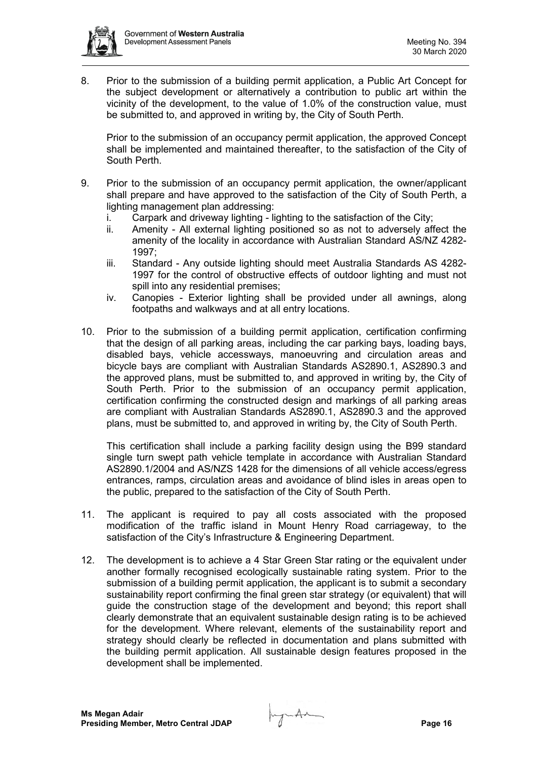

8. Prior to the submission of a building permit application, a Public Art Concept for the subject development or alternatively a contribution to public art within the vicinity of the development, to the value of 1.0% of the construction value, must be submitted to, and approved in writing by, the City of South Perth.

Prior to the submission of an occupancy permit application, the approved Concept shall be implemented and maintained thereafter, to the satisfaction of the City of South Perth.

- 9. Prior to the submission of an occupancy permit application, the owner/applicant shall prepare and have approved to the satisfaction of the City of South Perth, a lighting management plan addressing:
	- i. Carpark and driveway lighting lighting to the satisfaction of the City;
	- ii. Amenity All external lighting positioned so as not to adversely affect the amenity of the locality in accordance with Australian Standard AS/NZ 4282- 1997;
	- iii. Standard Any outside lighting should meet Australia Standards AS 4282- 1997 for the control of obstructive effects of outdoor lighting and must not spill into any residential premises;
	- iv. Canopies Exterior lighting shall be provided under all awnings, along footpaths and walkways and at all entry locations.
- 10. Prior to the submission of a building permit application, certification confirming that the design of all parking areas, including the car parking bays, loading bays, disabled bays, vehicle accessways, manoeuvring and circulation areas and bicycle bays are compliant with Australian Standards AS2890.1, AS2890.3 and the approved plans, must be submitted to, and approved in writing by, the City of South Perth. Prior to the submission of an occupancy permit application, certification confirming the constructed design and markings of all parking areas are compliant with Australian Standards AS2890.1, AS2890.3 and the approved plans, must be submitted to, and approved in writing by, the City of South Perth.

This certification shall include a parking facility design using the B99 standard single turn swept path vehicle template in accordance with Australian Standard AS2890.1/2004 and AS/NZS 1428 for the dimensions of all vehicle access/egress entrances, ramps, circulation areas and avoidance of blind isles in areas open to the public, prepared to the satisfaction of the City of South Perth.

- 11. The applicant is required to pay all costs associated with the proposed modification of the traffic island in Mount Henry Road carriageway, to the satisfaction of the City's Infrastructure & Engineering Department.
- 12. The development is to achieve a 4 Star Green Star rating or the equivalent under another formally recognised ecologically sustainable rating system. Prior to the submission of a building permit application, the applicant is to submit a secondary sustainability report confirming the final green star strategy (or equivalent) that will guide the construction stage of the development and beyond; this report shall clearly demonstrate that an equivalent sustainable design rating is to be achieved for the development. Where relevant, elements of the sustainability report and strategy should clearly be reflected in documentation and plans submitted with the building permit application. All sustainable design features proposed in the development shall be implemented.

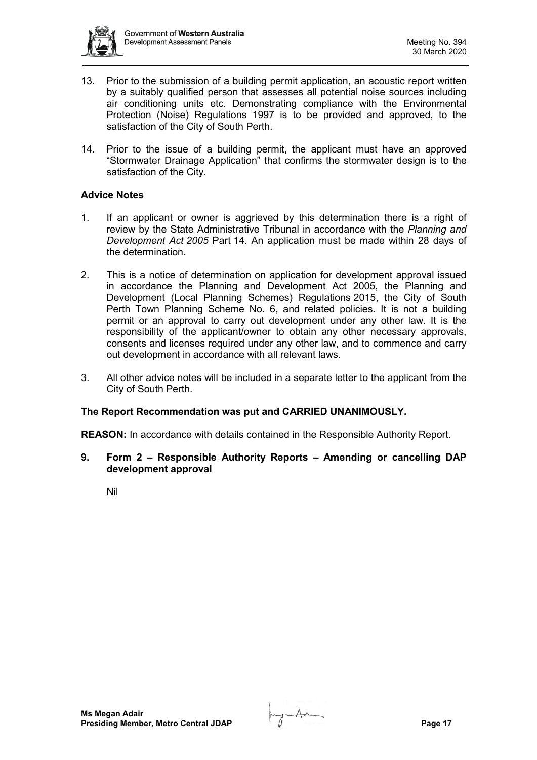

- 13. Prior to the submission of a building permit application, an acoustic report written by a suitably qualified person that assesses all potential noise sources including air conditioning units etc. Demonstrating compliance with the Environmental Protection (Noise) Regulations 1997 is to be provided and approved, to the satisfaction of the City of South Perth.
- 14. Prior to the issue of a building permit, the applicant must have an approved "Stormwater Drainage Application" that confirms the stormwater design is to the satisfaction of the City.

## **Advice Notes**

- 1. If an applicant or owner is aggrieved by this determination there is a right of review by the State Administrative Tribunal in accordance with the *Planning and Development Act 2005* Part 14. An application must be made within 28 days of the determination.
- 2. This is a notice of determination on application for development approval issued in accordance the Planning and Development Act 2005, the Planning and Development (Local Planning Schemes) Regulations 2015, the City of South Perth Town Planning Scheme No. 6, and related policies. It is not a building permit or an approval to carry out development under any other law. It is the responsibility of the applicant/owner to obtain any other necessary approvals, consents and licenses required under any other law, and to commence and carry out development in accordance with all relevant laws.
- 3. All other advice notes will be included in a separate letter to the applicant from the City of South Perth.

## **The Report Recommendation was put and CARRIED UNANIMOUSLY.**

**REASON:** In accordance with details contained in the Responsible Authority Report.

**9. Form 2 – Responsible Authority Reports – Amending or cancelling DAP development approval**

Nil